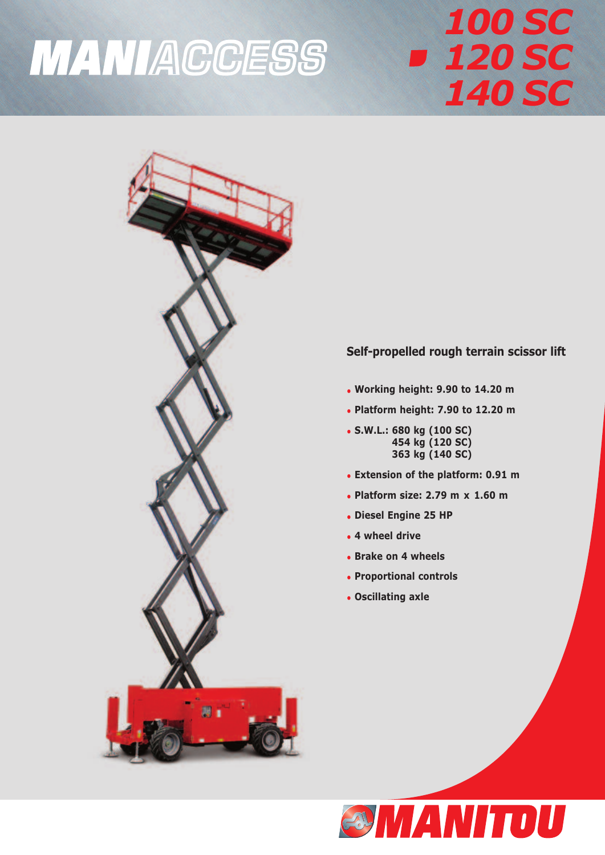## **MANIACCESS**

## *100 SC 120 SC 140 SC*



## **Self-propelled rough terrain scissor lift**

- **Working height: 9.90 to 14.20 m**
- **Platform height: 7.90 to 12.20 m**
- **S.W.L.: 680 kg (100 SC) 454 kg (120 SC) 363 kg (140 SC)**
- **Extension of the platform: 0.91 m**
- **Platform size: 2.79 m x 1.60 m**
- **Diesel Engine 25 HP**
- **4 wheel drive**
- **Brake on 4 wheels**
- **Proportional controls**
- **Oscillating axle**